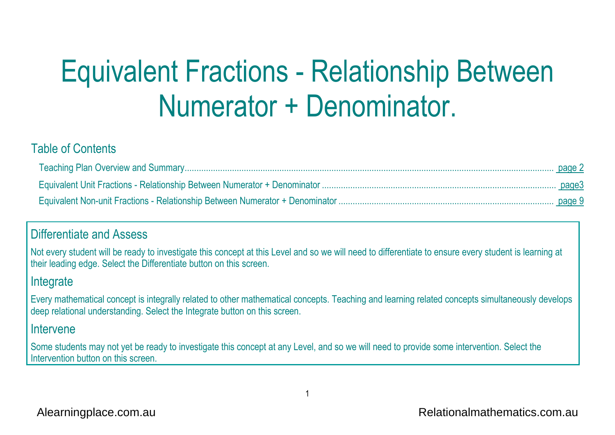# Equivalent Fractions - Relationship Between Numerator + Denominator.

#### Table of Contents

#### Differentiate and Assess

Not every student will be ready to investigate this concept at this Level and so we will need to differentiate to ensure every student is learning at their leading edge. Select the Differentiate button on this screen.

#### **Integrate**

Every mathematical concept is integrally related to other mathematical concepts. Teaching and learning related concepts simultaneously develops deep relational understanding. Select the Integrate button on this screen.

#### Intervene

Some students may not yet be ready to investigate this concept at any Level, and so we will need to provide some intervention. Select the Intervention button on this screen.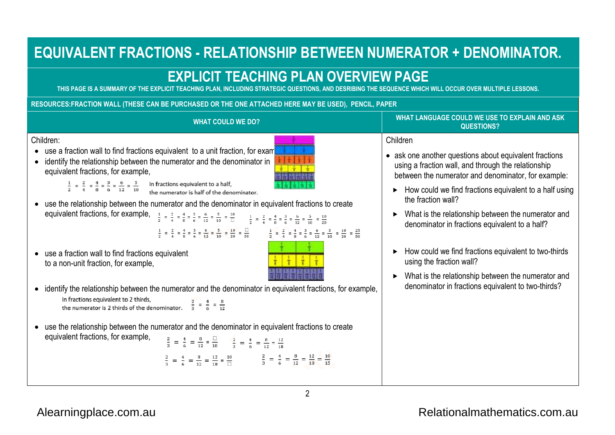# **EQUIVALENT FRACTIONS - RELATIONSHIP BETWEEN NUMERATOR + DENOMINATOR.**

### **EXPLICIT TEACHING PLAN OVERVIEW PAGEPLAN**

**THIS PAGE IS A SUMMARY OF THE EXPLICIT TEACHING PLAN, INCLUDING STRATEGIC QUESTIONS, AND DESRIBING THE SEQUENCE WHICH WILL OCCUR OVER MULTIPLE LESSONS.STRATEGIC SEQUENCE WHICH WILL** 

**RESOURCES:FRACTION WALL (THESE CAN BE PURCHASED OR THE ONE ATTACHED HERE MAY BE USED), FRACTION PURCHASED OR ONE ATTACHED HERE PENCIL, PAPER** 



 $\mathfrak{p}$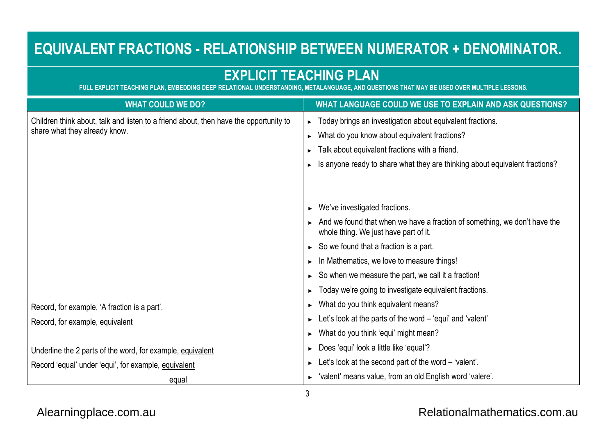# **EQUIVALENT FRACTIONS - RELATIONSHIP BETWEEN NUMERATOR + DENOMINATOR.**

## **EXPLICIT TEACHING PLAN**

**FULL EXPLICIT TEACHING PLAN, EMBEDDING DEEP RELATIONAL UNDERSTANDING, METALANGUAGE, AND QUESTIONS THAT MAY BE USED OVER MULTIPLE LESSONS.**

| <b>WHAT COULD WE DO?</b>                                                              | WHAT LANGUAGE COULD WE USE TO EXPLAIN AND ASK QUESTIONS?                                                           |  |  |  |  |
|---------------------------------------------------------------------------------------|--------------------------------------------------------------------------------------------------------------------|--|--|--|--|
| Children think about, talk and listen to a friend about, then have the opportunity to | ► Today brings an investigation about equivalent fractions.                                                        |  |  |  |  |
| share what they already know.                                                         | What do you know about equivalent fractions?<br>▶.                                                                 |  |  |  |  |
|                                                                                       | Talk about equivalent fractions with a friend.                                                                     |  |  |  |  |
|                                                                                       | Is anyone ready to share what they are thinking about equivalent fractions?                                        |  |  |  |  |
|                                                                                       |                                                                                                                    |  |  |  |  |
|                                                                                       |                                                                                                                    |  |  |  |  |
|                                                                                       | $\triangleright$ We've investigated fractions.                                                                     |  |  |  |  |
|                                                                                       | And we found that when we have a fraction of something, we don't have the<br>whole thing. We just have part of it. |  |  |  |  |
|                                                                                       | $\triangleright$ So we found that a fraction is a part.                                                            |  |  |  |  |
|                                                                                       | In Mathematics, we love to measure things!                                                                         |  |  |  |  |
|                                                                                       | $\triangleright$ So when we measure the part, we call it a fraction!                                               |  |  |  |  |
|                                                                                       | • Today we're going to investigate equivalent fractions.                                                           |  |  |  |  |
| Record, for example, 'A fraction is a part'.                                          | $\triangleright$ What do you think equivalent means?                                                               |  |  |  |  |
| Record, for example, equivalent                                                       | $\blacktriangleright$ Let's look at the parts of the word – 'equi' and 'valent'                                    |  |  |  |  |
|                                                                                       | $\triangleright$ What do you think 'equi' might mean?                                                              |  |  |  |  |
| Underline the 2 parts of the word, for example, equivalent                            | ► Does 'equi' look a little like 'equal'?                                                                          |  |  |  |  |
| Record 'equal' under 'equi', for example, equivalent                                  | $\blacktriangleright$ Let's look at the second part of the word – 'valent'.                                        |  |  |  |  |
| equal                                                                                 | ► 'valent' means value, from an old English word 'valere'.                                                         |  |  |  |  |

#### [Alearningplace.com.au](https://alearningplace.com.au/)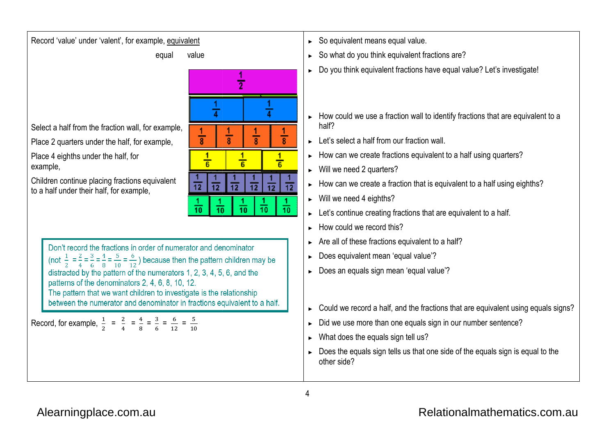

Select a half from the fraction wall, for example,

Record 'value' under 'valent', for example, equivalent

equal value

Place 2 quarters under the half, for example,

Place 4 eighths under the half, for example,

Children continue placing fractions equivalent to a half under their half, for example,



► So what do you think equivalent fractions are?

- ►Do you think equivalent fractions have equal value? Let's investigate!
- ► How could we use a fraction wall to identify fractions that are equivalent to a half? So what do you think equivalent fractions are?<br>Do you think equivalent fractions have equal value? Let's investigate!<br>How could we use a fraction wall to identify fractions that are equivalent<br>half?<br>Let's select a half fro
- ► Let's select a half from our fraction wall.
- ► How can we create fractions equivalent to a half using quarters?
- ► Will we need 2 quarters?
- ► How can we create a fraction that is equivalent to a half  $u$
- $\blacktriangleright$  Will we need 4 eighths?
- ► Let's continue creating fractions that are equivalent to a half.
- ► How could we record this?
- ► Are all of these fractions equivalent to a half?
- ► Does equivalent mean 'equal value'?
- ► Does an equals sign mean 'equal value'?
- ► Could we record a half, and the fractions that are equivalent using equals signs?all of these fractions equivalent to a half?<br>we divident mean 'equal value'?<br>we use more than one equals sign in our number sentence?<br>at does the equals sign tell us?<br>we use more than one equals sign in our number sentence
- ► Did we use more than one equals sign in our number sentence?
- ► What does the equals sign tell us?
- ► Does the equals sign tells us that one side of the equals sign is equal to theother side?

Record, for example,  $\frac{1}{2} = \frac{2}{4} = \frac{4}{8} = \frac{3}{6} = \frac{6}{12} = \frac{5}{10}$ 

The pattern that we want children to investigate is the relationship

between the numerator and denominator in fractions equivalent to a half.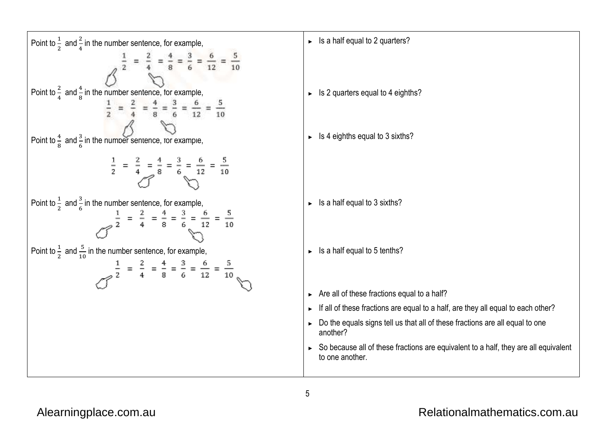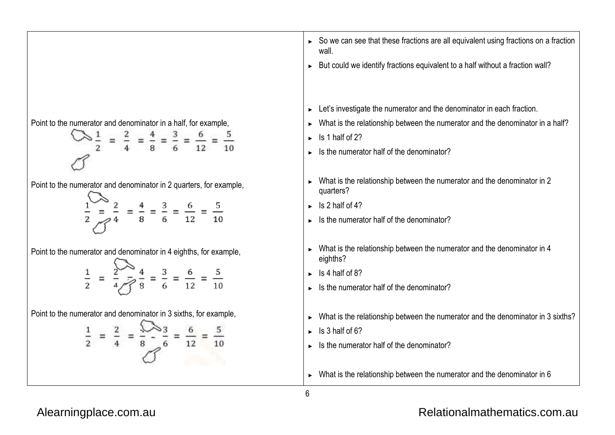

#### [Alearningplace.com.au](https://alearningplace.com.au/)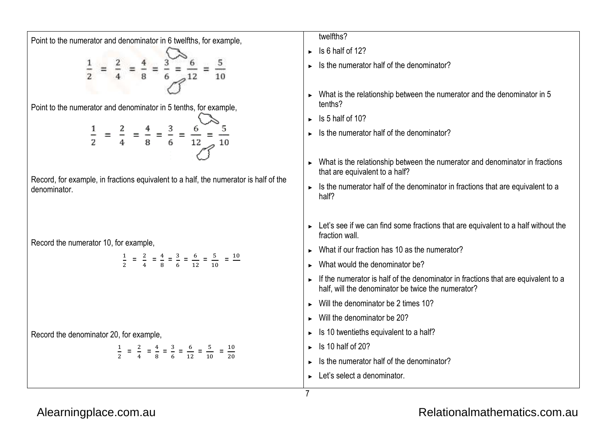

#### [Alearningplace.com.au](https://alearningplace.com.au/)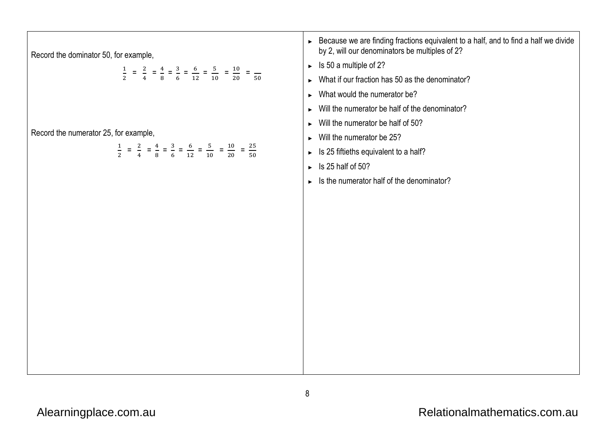| Record the dominator 50, for example,<br>$\frac{1}{2}$ = $\frac{2}{4}$ = $\frac{4}{8}$ = $\frac{3}{6}$ = $\frac{6}{12}$ = $\frac{5}{10}$ = $\frac{10}{20}$ = $\frac{1}{50}$  | ► Because we are finding fractions equivalent to a half, and to find a half we divide<br>by 2, will our denominators be multiples of 2?<br>$\triangleright$ Is 50 a multiple of 2?<br>$\triangleright$ What if our fraction has 50 as the denominator?<br>What would the numerator be?<br>$\triangleright$ Will the numerator be half of the denominator?<br>$\triangleright$ Will the numerator be half of 50? |  |  |  |  |
|------------------------------------------------------------------------------------------------------------------------------------------------------------------------------|-----------------------------------------------------------------------------------------------------------------------------------------------------------------------------------------------------------------------------------------------------------------------------------------------------------------------------------------------------------------------------------------------------------------|--|--|--|--|
| Record the numerator 25, for example,<br>$\frac{1}{2}$ = $\frac{2}{4}$ = $\frac{4}{8}$ = $\frac{3}{6}$ = $\frac{6}{12}$ = $\frac{5}{10}$ = $\frac{10}{20}$ = $\frac{25}{50}$ | $\triangleright$ Will the numerator be 25?<br>Is 25 fiftieths equivalent to a half?<br>$\blacktriangleright$<br>Is 25 half of 50?<br>$\blacktriangleright$<br>$\triangleright$ Is the numerator half of the denominator?                                                                                                                                                                                        |  |  |  |  |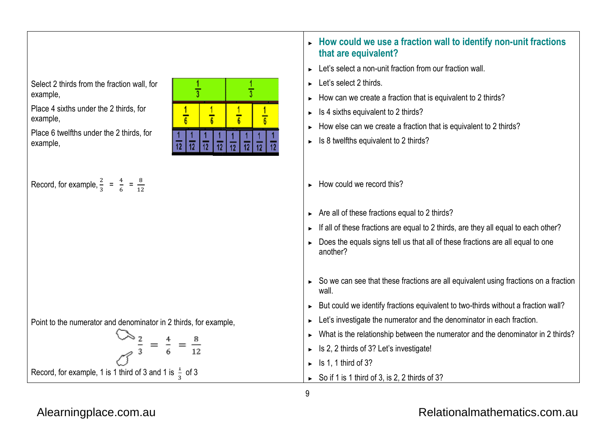

Place 4 sixths under the 2 thirds, for example,

Place 6 twelfths under the 2 thirds, for example,

Record, for example,  $\frac{2}{3} = \frac{4}{6} = \frac{8}{12}$ 

denominator example, ► **How could we use a fraction wall to identify non**

#### **that are equivalent?** ► How could we use a fraction wall to identify non-unit fractions

- $\blacktriangleright$  Let's select a non-unit fraction from our fraction wall.
- ► Let's select 2 thirds.
- ► How can we create a fraction that is equivalent to 2 thirds?
- ►Is 4 sixths equivalent to 2 thirds?
- ►How else can we create a fraction that is equivalent to 2 thirds?
- ► Is 8 twelfths equivalent to 2 thirds?
- ► How could we record this?
- ► Are all of these fractions equal to 2 thirds?
- ► If all of these fractions are equal to 2 thirds, are they all equal to each other?
- ► Does the equals signs tell us that all of these fractions are all equal to one another?
- ► So we can see that these fractions are all equivalent using fractions on a fraction wall. How can we create a fraction that is equivalent to 2 thirds?<br>Is 4 sixths equivalent to 2 thirds?<br>How else can we create a fraction that is equivalent to 2 thirds?<br>Is 8 twelfths equivalent to 2 thirds?<br>Are all of these frac
- ► But could we identify fractions equivalent to two
- ► Let's investigate the numerator and the denominator in each fraction.
- ► Let's investigate the numerator and the denominator in each fraction.<br>► What is the relationship between the numerator and the denominator in 2 thirds?
- ► Is 2, 2 thirds of 3? Let's investigate!
- $\blacktriangleright$  Is 1, 1 third of 3?
- ► So if 1 is 1 third of 3, is 2, 2 thirds of 3?

#### Point to the numerator and denominator in 2 thirds, for example,

$$
\frac{2}{3} = \frac{4}{6} = \frac{8}{12}
$$
  
Record, for example, 1 is 1 third of 3 and 1 is  $\frac{1}{3}$  of 3

9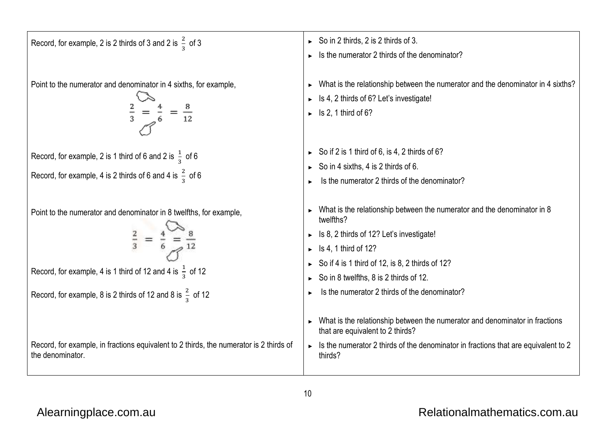| Record, for example, 2 is 2 thirds of 3 and 2 is $\frac{2}{3}$ of 3                                                                                                                                                                  | So in 2 thirds, 2 is 2 thirds of 3.<br>Is the numerator 2 thirds of the denominator?                                                                                                                                                                                                                                                                                                                                      |
|--------------------------------------------------------------------------------------------------------------------------------------------------------------------------------------------------------------------------------------|---------------------------------------------------------------------------------------------------------------------------------------------------------------------------------------------------------------------------------------------------------------------------------------------------------------------------------------------------------------------------------------------------------------------------|
| Point to the numerator and denominator in 4 sixths, for example,                                                                                                                                                                     | What is the relationship between the numerator and the denominator in 4 sixths?<br>Is 4, 2 thirds of 6? Let's investigate!<br>Is 2, 1 third of 6?                                                                                                                                                                                                                                                                         |
| Record, for example, 2 is 1 third of 6 and 2 is $\frac{1}{3}$ of 6<br>Record, for example, 4 is 2 thirds of 6 and 4 is $\frac{2}{3}$ of 6                                                                                            | So if 2 is 1 third of 6, is 4, 2 thirds of 6?<br>So in 4 sixths, 4 is 2 thirds of 6.<br>Is the numerator 2 thirds of the denominator?                                                                                                                                                                                                                                                                                     |
| Point to the numerator and denominator in 8 twelfths, for example,<br>$rac{2}{3}$ =<br>Record, for example, 4 is 1 third of 12 and 4 is $\frac{1}{3}$ of 12<br>Record, for example, 8 is 2 thirds of 12 and 8 is $\frac{2}{3}$ of 12 | What is the relationship between the numerator and the denominator in 8<br>twelfths?<br>Is 8, 2 thirds of 12? Let's investigate!<br>Is 4, 1 third of 12?<br>So if 4 is 1 third of 12, is 8, 2 thirds of 12?<br>So in 8 twelfths, 8 is 2 thirds of 12.<br>Is the numerator 2 thirds of the denominator?<br>What is the relationship between the numerator and denominator in fractions<br>that are equivalent to 2 thirds? |
| Record, for example, in fractions equivalent to 2 thirds, the numerator is 2 thirds of<br>the denominator.                                                                                                                           | Is the numerator 2 thirds of the denominator in fractions that are equivalent to 2<br>thirds?                                                                                                                                                                                                                                                                                                                             |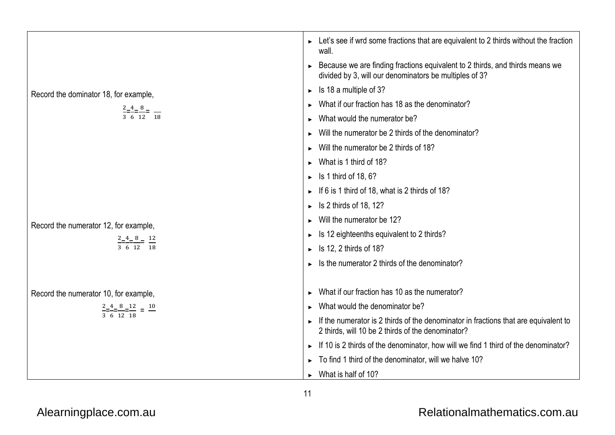|                                                       | $\triangleright$ Let's see if wrd some fractions that are equivalent to 2 thirds without the fraction<br>wall.                           |  |  |  |  |
|-------------------------------------------------------|------------------------------------------------------------------------------------------------------------------------------------------|--|--|--|--|
|                                                       | Because we are finding fractions equivalent to 2 thirds, and thirds means we<br>divided by 3, will our denominators be multiples of 3?   |  |  |  |  |
| Record the dominator 18, for example,                 | $\triangleright$ Is 18 a multiple of 3?                                                                                                  |  |  |  |  |
|                                                       | What if our fraction has 18 as the denominator?                                                                                          |  |  |  |  |
| $\frac{2-4-8}{3-6-12} = \frac{1}{18}$                 | $\triangleright$ What would the numerator be?                                                                                            |  |  |  |  |
|                                                       | Will the numerator be 2 thirds of the denominator?                                                                                       |  |  |  |  |
|                                                       | Will the numerator be 2 thirds of 18?                                                                                                    |  |  |  |  |
|                                                       | What is 1 third of 18?                                                                                                                   |  |  |  |  |
|                                                       | $\triangleright$ Is 1 third of 18, 6?                                                                                                    |  |  |  |  |
|                                                       | If 6 is 1 third of 18, what is 2 thirds of 18?                                                                                           |  |  |  |  |
|                                                       | Is 2 thirds of 18, 12?                                                                                                                   |  |  |  |  |
| Record the numerator 12, for example,                 | Will the numerator be 12?                                                                                                                |  |  |  |  |
|                                                       | Is 12 eighteenths equivalent to 2 thirds?                                                                                                |  |  |  |  |
| $\frac{2-4-8}{3-6-12} = \frac{12}{18}$                | Is 12, 2 thirds of 18?                                                                                                                   |  |  |  |  |
|                                                       | Is the numerator 2 thirds of the denominator?                                                                                            |  |  |  |  |
|                                                       |                                                                                                                                          |  |  |  |  |
| Record the numerator 10, for example,                 | What if our fraction has 10 as the numerator?                                                                                            |  |  |  |  |
| $\frac{2-4}{3-6}$ $\frac{8-12}{18}$ = $\frac{10}{18}$ | What would the denominator be?                                                                                                           |  |  |  |  |
|                                                       | If the numerator is 2 thirds of the denominator in fractions that are equivalent to<br>2 thirds, will 10 be 2 thirds of the denominator? |  |  |  |  |
|                                                       | If 10 is 2 thirds of the denominator, how will we find 1 third of the denominator?                                                       |  |  |  |  |
|                                                       | To find 1 third of the denominator, will we halve 10?                                                                                    |  |  |  |  |
|                                                       | $\triangleright$ What is half of 10?                                                                                                     |  |  |  |  |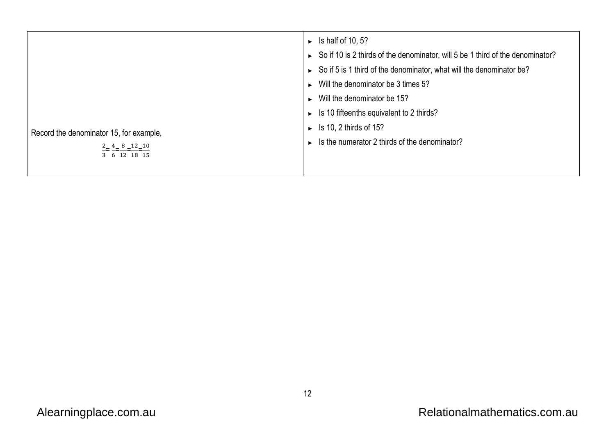|                                         | $\triangleright$ Is half of 10, 5?                                             |
|-----------------------------------------|--------------------------------------------------------------------------------|
|                                         | So if 10 is 2 thirds of the denominator, will 5 be 1 third of the denominator? |
|                                         | So if 5 is 1 third of the denominator, what will the denominator be?           |
|                                         | $\triangleright$ Will the denominator be 3 times 5?                            |
|                                         | $\triangleright$ Will the denominator be 15?                                   |
|                                         | $\triangleright$ Is 10 fifteenths equivalent to 2 thirds?                      |
| Record the denominator 15, for example, | $\triangleright$ Is 10, 2 thirds of 15?                                        |
| $2 - 4 - 8 - 12 - 10$                   | $\triangleright$ Is the numerator 2 thirds of the denominator?                 |
| 3 6 12 18 15                            |                                                                                |
|                                         |                                                                                |